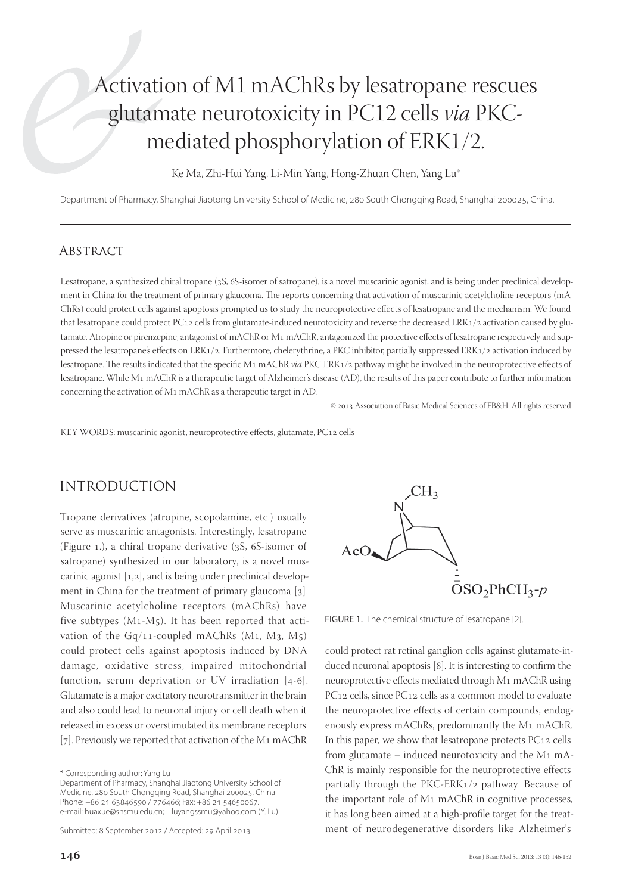# Activation of M1 mAChRs by lesatropane rescues glutamate neurotoxicity in PC12 cells *via* PKCmediated phosphorylation of ERK1/2.

Ke Ma, Zhi-Hui Yang, Li-Min Yang, Hong-Zhuan Chen, Yang Lu\*

Department of Pharmacy, Shanghai Jiaotong University School of Medicine, 280 South Chongqing Road, Shanghai 200025, China.

## **ABSTRACT**

Lesatropane, a synthesized chiral tropane (3S, 6S-isomer of satropane), is a novel muscarinic agonist, and is being under preclinical development in China for the treatment of primary glaucoma. The reports concerning that activation of muscarinic acetylcholine receptors (mA-ChRs) could protect cells against apoptosis prompted us to study the neuroprotective effects of lesatropane and the mechanism. We found that lesatropane could protect PC12 cells from glutamate-induced neurotoxicity and reverse the decreased ERK1/2 activation caused by glutamate. Atropine or pirenzepine, antagonist of mAChR or M1 mAChR, antagonized the protective effects of lesatropane respectively and suppressed the lesatropane's effects on ERK1/2. Furthermore, chelerythrine, a PKC inhibitor, partially suppressed ERK1/2 activation induced by lesatropane. The results indicated that the specific M1 mAChR *via* PKC-ERK1/2 pathway might be involved in the neuroprotective effects of lesatropane. While M<sub>1</sub> mAChR is a therapeutic target of Alzheimer's disease (AD), the results of this paper contribute to further information concerning the activation of M<sub>1</sub> mAChR as a therapeutic target in AD.

© 2013 Association of Basic Medical Sciences of FB&H. All rights reserved

KEY WORDS: muscarinic agonist, neuroprotective effects, glutamate, PC12 cells

## INTRODUCTION

Tropane derivatives (atropine, scopolamine, etc.) usually serve as muscarinic antagonists. Interestingly, lesatropane (Figure 1.), a chiral tropane derivative  $(35, 65$ -isomer of satropane) synthesized in our laboratory, is a novel muscarinic agonist  $[1,2]$ , and is being under preclinical development in China for the treatment of primary glaucoma  $[3]$ . Muscarinic acetylcholine receptors (mAChRs) have five subtypes  $(M_1-M_5)$ . It has been reported that activation of the Gq/11-coupled mAChRs  $(M_1, M_3, M_5)$ could protect cells against apoptosis induced by DNA damage, oxidative stress, impaired mitochondrial function, serum deprivation or UV irradiation  $[4-6]$ . Glutamate is a major excitatory neurotransmitter in the brain and also could lead to neuronal injury or cell death when it released in excess or overstimulated its membrane receptors [7]. Previously we reported that activation of the M1 mAChR

Department of Pharmacy, Shanghai Jiaotong University School of Medicine, 280 South Chongqing Road, Shanghai 200025, China Phone: +86 21 63846590 / 776466; Fax: +86 21 54650067. e-mail: huaxue@shsmu.edu.cn; luyangssmu@yahoo.com (Y. Lu)

Submitted: 8 September 2012 / Accepted: 29 April 2013



FIGURE 1. The chemical structure of lesatropane [2].

could protect rat retinal ganglion cells against glutamate-induced neuronal apoptosis  $[8]$ . It is interesting to confirm the neuroprotective effects mediated through M1 mAChR using PC12 cells, since PC12 cells as a common model to evaluate the neuroprotective effects of certain compounds, endogenously express mAChRs, predominantly the M1 mAChR. In this paper, we show that lesatropane protects  $PC<sub>12</sub>$  cells from glutamate  $-$  induced neurotoxicity and the M<sub>1</sub> mA-ChR is mainly responsible for the neuroprotective effects partially through the  $PKC-ERK_1/2$  pathway. Because of the important role of  $M_1$  mAChR in cognitive processes, it has long been aimed at a high-profile target for the treatment of neurodegenerative disorders like Alzheimer's

<sup>\*</sup> Corresponding author: Yang Lu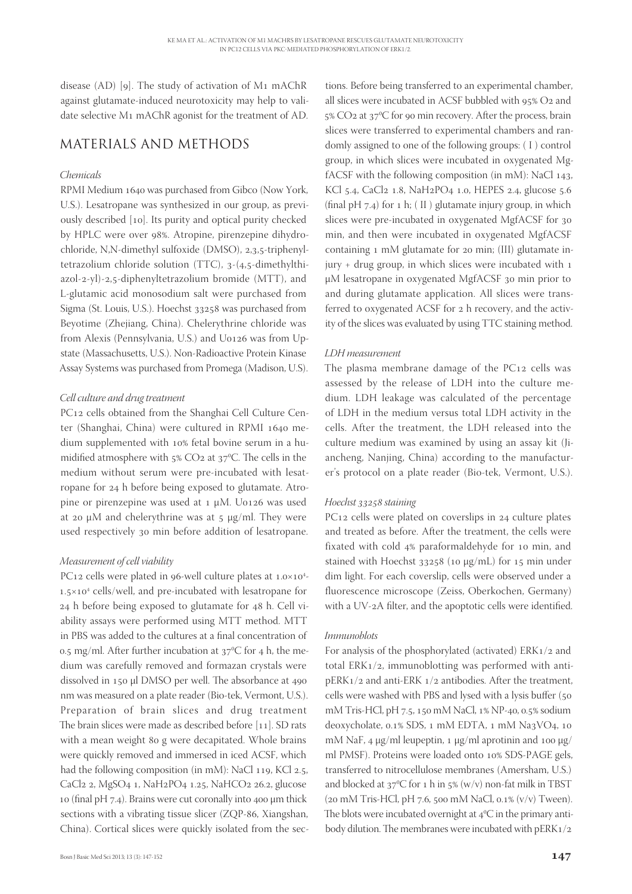disease (AD) [9]. The study of activation of M1 mAChR against glutamate-induced neurotoxicity may help to validate selective M<sub>1</sub> mAChR agonist for the treatment of AD.

# MATERIALS AND METHODS

#### *Chemicals*

RPMI Medium 1640 was purchased from Gibco (Now York, U.S.). Lesatropane was synthesized in our group, as previously described [10]. Its purity and optical purity checked by HPLC were over 98%. Atropine, pirenzepine dihydrochloride, N,N-dimethyl sulfoxide (DMSO), 2,3,5-triphenyltetrazolium chloride solution (TTC),  $3-(4.5 \text{-}$ dimethylthi $azol-z-yl$ )-2,5-diphenyltetrazolium bromide (MTT), and L-glutamic acid monosodium salt were purchased from Sigma (St. Louis, U.S.). Hoechst 33258 was purchased from Beyotime (Zhejiang, China). Chelerythrine chloride was from Alexis (Pennsylvania, U.S.) and  $U_{0126}$  was from  $Up$ state (Massachusetts, U.S.). Non-Radioactive Protein Kinase Assay Systems was purchased from Promega (Madison, U.S).

## *Cell culture and drug treatment*

PC12 cells obtained from the Shanghai Cell Culture Center (Shanghai, China) were cultured in RPMI 1640 medium supplemented with 10% fetal bovine serum in a humidified atmosphere with  $5\%$  CO<sub>2</sub> at  $37^{\circ}$ C. The cells in the medium without serum were pre-incubated with lesatropane for 24 h before being exposed to glutamate. Atropine or pirenzepine was used at  $1 \mu M$ . U0126 was used at 20 μM and chelerythrine was at  $5 \mu g/ml$ . They were used respectively 30 min before addition of lesatropane.

## *Measurement of cell viability*

PC12 cells were plated in 96-well culture plates at  $1.0 \times 10^{4}$ -1.5×10<sup>4</sup> cells/well, and pre-incubated with lesatropane for  $24$  h before being exposed to glutamate for  $48$  h. Cell viability assays were performed using MTT method. MTT in PBS was added to the cultures at a final concentration of 0.5 mg/ml. After further incubation at  $37^{\circ}$ C for 4 h, the medium was carefully removed and formazan crystals were dissolved in 150 µl DMSO per well. The absorbance at 490 nm was measured on a plate reader (Bio-tek, Vermont, U.S.). Preparation of brain slices and drug treatment The brain slices were made as described before  $[11]$ . SD rats with a mean weight 80 g were decapitated. Whole brains were quickly removed and immersed in iced ACSF, which had the following composition (in mM): NaCl 119, KCl 2.5, CaCl2 2, MgSO4 1, NaH2PO4 1.25, NaHCO2 26.2, glucose  $10$  (final pH 7.4). Brains were cut coronally into  $400 \mu m$  thick sections with a vibrating tissue slicer (ZQP-86, Xiangshan, China). Cortical slices were quickly isolated from the sec-

tions. Before being transferred to an experimental chamber, all slices were incubated in ACSF bubbled with  $95\%$  O2 and  $5\%$  CO<sub>2</sub> at  $37^{\circ}$ C for 90 min recovery. After the process, brain slices were transferred to experimental chambers and randomly assigned to one of the following groups: ( I ) control group, in which slices were incubated in oxygenated MgfACSF with the following composition (in mM): NaCl  $_{143}$ , KCl 5.4, CaCl2 1.8, NaH2PO4 1.0, HEPES 2.4, glucose 5.6 (final pH  $7.4$ ) for 1 h; (II) glutamate injury group, in which slices were pre-incubated in oxygenated MgfACSF for min, and then were incubated in oxygenated MgfACSF containing 1 mM glutamate for 20 min; (III) glutamate injury + drug group, in which slices were incubated with 1 μM lesatropane in oxygenated MgfACSF  $30$  min prior to and during glutamate application. All slices were transferred to oxygenated ACSF for 2 h recovery, and the activity of the slices was evaluated by using TTC staining method.

#### *LDH measurement*

The plasma membrane damage of the  $PC_{12}$  cells was assessed by the release of LDH into the culture medium. LDH leakage was calculated of the percentage of LDH in the medium versus total LDH activity in the cells. After the treatment, the LDH released into the culture medium was examined by using an assay kit (Jiancheng, Nanjing, China) according to the manufacturer's protocol on a plate reader (Bio-tek, Vermont, U.S.).

#### *Hoechst staining*

PC $12$  cells were plated on coverslips in  $24$  culture plates and treated as before. After the treatment, the cells were fixated with cold 4% paraformaldehyde for 10 min, and stained with Hoechst  $33258$  (10  $\mu$ g/mL) for 15 min under dim light. For each coverslip, cells were observed under a fluorescence microscope (Zeiss, Oberkochen, Germany) with a UV-2A filter, and the apoptotic cells were identified.

#### *Immunoblots*

For analysis of the phosphorylated (activated)  $ERK1/2$  and total ERK $1/2$ , immunoblotting was performed with anti $pERK_1/2$  and anti-ERK  $1/2$  antibodies. After the treatment, cells were washed with PBS and lysed with a lysis buffer (50 mM Tris-HCl, pH 7.5, 150 mM NaCl, 1% NP-40, 0.5% sodium deoxycholate, 0.1% SDS, 1 mM EDTA, 1 mM Na3VO4, 10 mM NaF, 4  $\mu$ g/ml leupeptin, 1  $\mu$ g/ml aprotinin and 100  $\mu$ g/ ml PMSF). Proteins were loaded onto 10% SDS-PAGE gels, transferred to nitrocellulose membranes (Amersham, U.S.) and blocked at  $37^{\circ}$ C for 1 h in  $5\%$  (w/v) non-fat milk in TBST (20 mM Tris-HCl, pH 7.6, 500 mM NaCl, 0.1% (v/v) Tween). The blots were incubated overnight at  $4^{\circ}$ C in the primary antibody dilution. The membranes were incubated with  $pERK_1/2$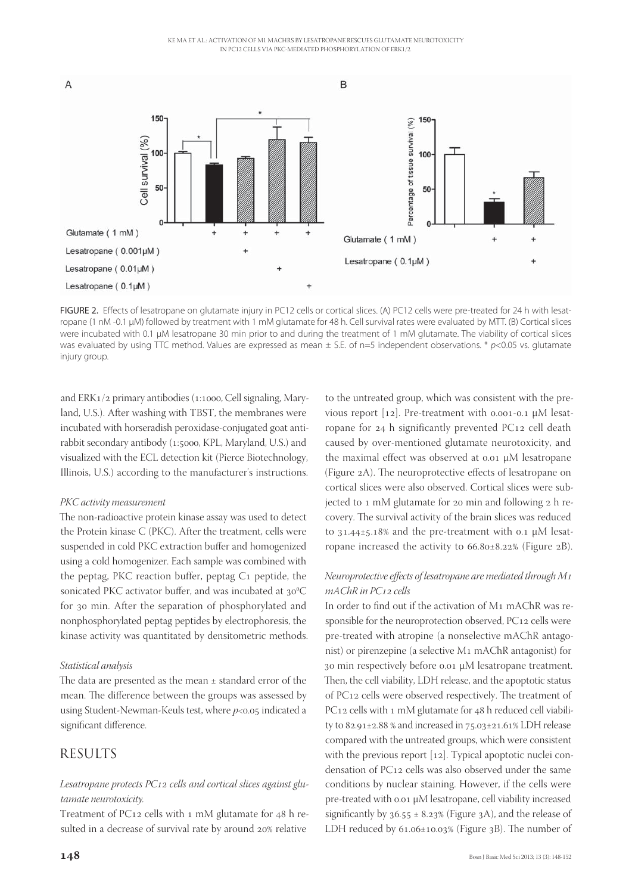

FIGURE 2. Effects of lesatropane on glutamate injury in PC12 cells or cortical slices. (A) PC12 cells were pre-treated for 24 h with lesatropane (1 nM -0.1 μM) followed by treatment with 1 mM glutamate for 48 h. Cell survival rates were evaluated by MTT. (B) Cortical slices were incubated with 0.1 μM lesatropane 30 min prior to and during the treatment of 1 mM glutamate. The viability of cortical slices was evaluated by using TTC method. Values are expressed as mean  $\pm$  S.E. of n=5 independent observations. \*  $p$ <0.05 vs. glutamate injury group.

and  $ERK_1/2$  primary antibodies (1:1000, Cell signaling, Maryland, U.S.). After washing with TBST, the membranes were incubated with horseradish peroxidase-conjugated goat antirabbit secondary antibody (1:5000, KPL, Maryland, U.S.) and visualized with the ECL detection kit (Pierce Biotechnology, Illinois, U.S.) according to the manufacturer's instructions.

#### *PKC activity measurement*

The non-radioactive protein kinase assay was used to detect the Protein kinase C (PKC). After the treatment, cells were suspended in cold PKC extraction buffer and homogenized using a cold homogenizer. Each sample was combined with the peptag, PKC reaction buffer, peptag  $C_1$  peptide, the sonicated PKC activator buffer, and was incubated at  $30^{\circ}$ C for 30 min. After the separation of phosphorylated and nonphosphorylated peptag peptides by electrophoresis, the kinase activity was quantitated by densitometric methods.

#### *Statistical analysis*

The data are presented as the mean  $\pm$  standard error of the mean. The difference between the groups was assessed by using Student-Newman-Keuls test, where  $p<0.05$  indicated a significant difference.

## **RESULTS**

#### Lesatropane protects PC12 cells and cortical slices against glu*tamate neurotoxicity.*

Treatment of PC12 cells with 1 mM glutamate for  $48$  h resulted in a decrease of survival rate by around 20% relative

to the untreated group, which was consistent with the previous report  $[12]$ . Pre-treatment with 0.001-0.1 μM lesatropane for  $24$  h significantly prevented PC12 cell death caused by over-mentioned glutamate neurotoxicity, and the maximal effect was observed at 0.01 μM lesatropane (Figure 2A). The neuroprotective effects of lesatropane on cortical slices were also observed. Cortical slices were subjected to  $1 \text{ mM}$  glutamate for 20 min and following  $2 \text{ h}$  recovery. The survival activity of the brain slices was reduced to  $31.44\pm5.18%$  and the pre-treatment with 0.1 μM lesatropane increased the activity to  $66.80 \pm 8.22$ % (Figure 2B).

## *Neuroprotective effects of lesatropane are mediated through M1 mAChR in PC cells*

In order to find out if the activation of M1 mAChR was responsible for the neuroprotection observed, PC12 cells were pre-treated with atropine (a nonselective mAChR antagonist) or pirenzepine (a selective M1 mAChR antagonist) for 30 min respectively before 0.01 μM lesatropane treatment. Then, the cell viability, LDH release, and the apoptotic status of PC12 cells were observed respectively. The treatment of PC<sub>12</sub> cells with  $_1$  mM glutamate for  $_48$  h reduced cell viability to  $82.91 \pm 2.88$  % and increased in  $75.03 \pm 21.61$ % LDH release compared with the untreated groups, which were consistent with the previous report  $[12]$ . Typical apoptotic nuclei condensation of  $PC<sub>12</sub>$  cells was also observed under the same conditions by nuclear staining. However, if the cells were pre-treated with 0.01 μM lesatropane, cell viability increased significantly by  $36.55 \pm 8.23\%$  (Figure 3A), and the release of LDH reduced by 61.06±10.03% (Figure 3B). The number of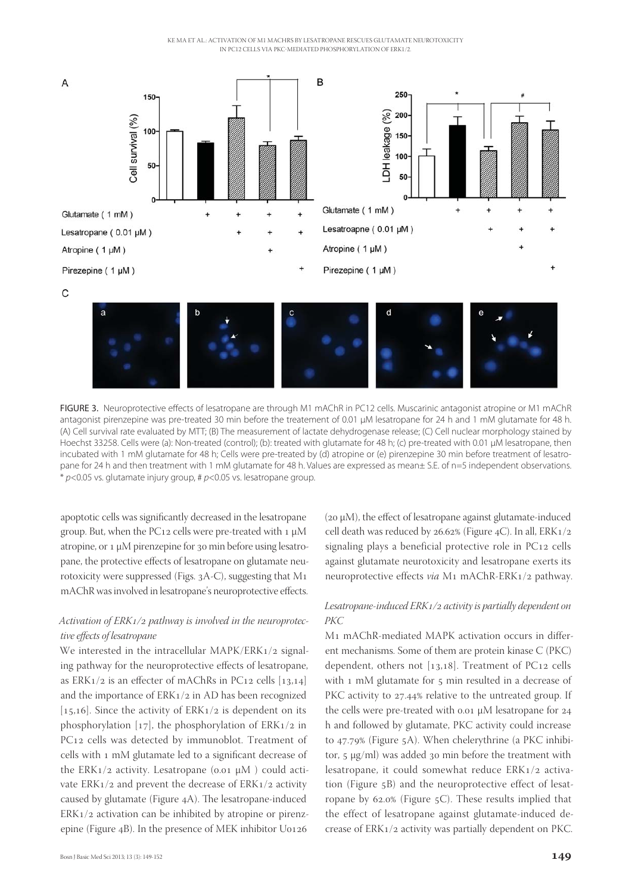

FIGURE 3. Neuroprotective effects of lesatropane are through M1 mAChR in PC12 cells. Muscarinic antagonist atropine or M1 mAChR antagonist pirenzepine was pre-treated 30 min before the treatement of 0.01 μM lesatropane for 24 h and 1 mM glutamate for 48 h. (A) Cell survival rate evaluated by MTT; (B) The measurement of lactate dehydrogenase release; (C) Cell nuclear morphology stained by Hoechst 33258. Cells were (a): Non-treated (control); (b): treated with glutamate for 48 h; (c) pre-treated with 0.01 μM lesatropane, then incubated with 1 mM glutamate for 48 h; Cells were pre-treated by (d) atropine or (e) pirenzepine 30 min before treatment of lesatropane for 24 h and then treatment with 1 mM glutamate for 48 h. Values are expressed as mean± S.E. of n=5 independent observations.

 $*$  p<0.05 vs. glutamate injury group, #  $p$ <0.05 vs. lesatropane group.

apoptotic cells was significantly decreased in the lesatropane group. But, when the PC12 cells were pre-treated with  $1 \mu M$ atropine, or  $1 \mu M$  pirenzepine for 30 min before using lesatropane, the protective effects of lesatropane on glutamate neurotoxicity were suppressed (Figs.  $3A-C$ ), suggesting that  $M_1$ mAChR was involved in lesatropane's neuroprotective effects.

## Activation of *ERK1/2 pathway is involved in the neuroprotective eff ects of lesatropane*

We interested in the intracellular  $MAPK/ERK1/2$  signaling pathway for the neuroprotective effects of lesatropane, as ERK $1/2$  is an effecter of mAChRs in PC $12$  cells [ $13,14$ ] and the importance of  $ERK1/2$  in AD has been recognized [15,16]. Since the activity of  $ERK1/2$  is dependent on its phosphorylation  $[17]$ , the phosphorylation of ERK1/2 in PC<sub>12</sub> cells was detected by immunoblot. Treatment of cells with 1 mM glutamate led to a significant decrease of the ERK1/2 activity. Lesatropane ( $0.01 \mu M$ ) could activate  $ERK_1/2$  and prevent the decrease of  $ERK_1/2$  activity caused by glutamate (Figure  $4A$ ). The lesatropane-induced  $ERK1/2$  activation can be inhibited by atropine or pirenzepine (Figure 4B). In the presence of MEK inhibitor U0126 (20  $\mu$ M), the effect of lesatropane against glutamate-induced cell death was reduced by  $26.62\%$  (Figure 4C). In all, ERK $1/2$ signaling plays a beneficial protective role in  $PC_{12}$  cells against glutamate neurotoxicity and lesatropane exerts its neuroprotective effects *via* M<sub>1</sub> mAChR-ERK<sub>1</sub>/<sub>2</sub> pathway.

#### Lesatropane-induced ERK1/2 activity is partially dependent on *PKC*

M<sub>1</sub> mAChR-mediated MAPK activation occurs in different mechanisms. Some of them are protein kinase C (PKC) dependent, others not  $[13,18]$ . Treatment of PC12 cells with  $1 \text{ mM}$  glutamate for  $5 \text{ min}$  resulted in a decrease of PKC activity to 27.44% relative to the untreated group. If the cells were pre-treated with  $0.01 \mu$ M lesatropane for  $24$ h and followed by glutamate, PKC activity could increase to  $47.79\%$  (Figure 5A). When chelerythrine (a PKC inhibitor,  $5 \mu g/ml$ ) was added  $30 \text{ min}$  before the treatment with lesatropane, it could somewhat reduce  $ERK_1/2$  activation (Figure  $5B$ ) and the neuroprotective effect of lesatropane by  $62.0\%$  (Figure  $5C$ ). These results implied that the effect of lesatropane against glutamate-induced decrease of ERK1/2 activity was partially dependent on PKC.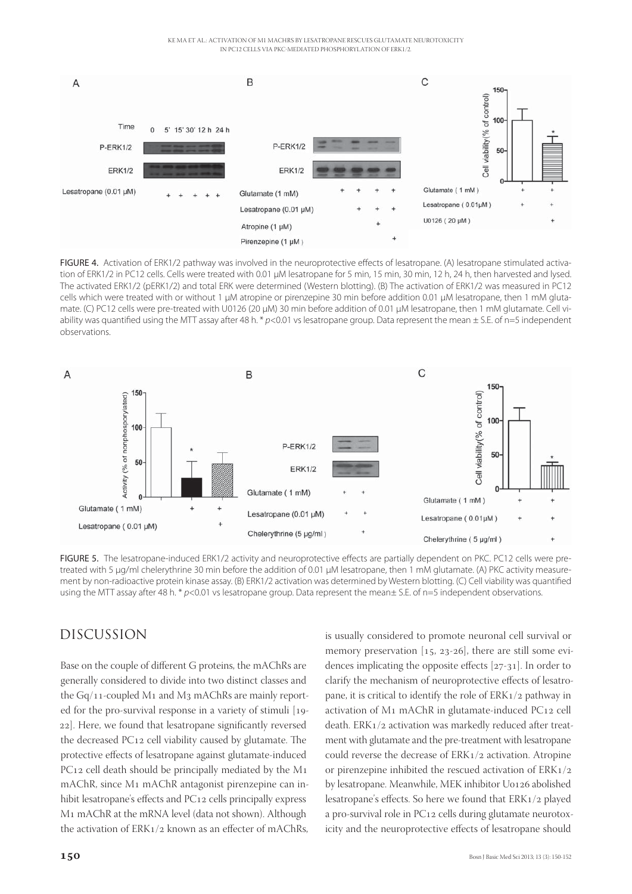KE MA ET AL.: ACTIVATION OF M1 MACHRS BY LESATROPANE RESCUES GLUTAMATE NEUROTOXICITY IN PC12 CELLS VIA PKC-MEDIATED PHOSPHORYLATION OF ERK1/2.



FIGURE 4. Activation of ERK1/2 pathway was involved in the neuroprotective effects of lesatropane. (A) lesatropane stimulated activation of ERK1/2 in PC12 cells. Cells were treated with 0.01 μM lesatropane for 5 min, 15 min, 30 min, 12 h, 24 h, then harvested and lysed. The activated ERK1/2 (pERK1/2) and total ERK were determined (Western blotting). (B) The activation of ERK1/2 was measured in PC12 cells which were treated with or without 1 μM atropine or pirenzepine 30 min before addition 0.01 μM lesatropane, then 1 mM glutamate. (C) PC12 cells were pre-treated with U0126 (20 μM) 30 min before addition of 0.01 μM lesatropane, then 1 mM glutamate. Cell viability was quantified using the MTT assay after 48 h. \*  $p<0.01$  vs lesatropane group. Data represent the mean  $\pm$  S.E. of n=5 independent observations.



FIGURE 5. The lesatropane-induced ERK1/2 activity and neuroprotective effects are partially dependent on PKC. PC12 cells were pretreated with 5 μg/ml chelerythrine 30 min before the addition of 0.01 μM lesatropane, then 1 mM glutamate. (A) PKC activity measurement by non-radioactive protein kinase assay. (B) ERK1/2 activation was determined by Western blotting. (C) Cell viability was quantified using the MTT assay after 48 h. \*  $p<0.01$  vs lesatropane group. Data represent the mean $\pm$  S.E. of n=5 independent observations.

## DISCUSSION

Base on the couple of different G proteins, the mAChRs are generally considered to divide into two distinct classes and the Gq/11-coupled M1 and M3 mAChRs are mainly reported for the pro-survival response in a variety of stimuli  $[19-$ 22]. Here, we found that lesatropane significantly reversed the decreased  $PC_{12}$  cell viability caused by glutamate. The protective effects of lesatropane against glutamate-induced PC<sub>12</sub> cell death should be principally mediated by the M<sub>1</sub> mAChR, since M1 mAChR antagonist pirenzepine can inhibit lesatropane's effects and PC12 cells principally express M<sub>1</sub> mAChR at the mRNA level (data not shown). Although the activation of  $ERK_1/2$  known as an effecter of mAChRs, is usually considered to promote neuronal cell survival or memory preservation  $[15, 23-26]$ , there are still some evidences implicating the opposite effects  $[27-31]$ . In order to clarify the mechanism of neuroprotective effects of lesatropane, it is critical to identify the role of  $ERK1/2$  pathway in activation of  $M_1$  mAChR in glutamate-induced PC12 cell death.  $ERK1/2$  activation was markedly reduced after treatment with glutamate and the pre-treatment with lesatropane could reverse the decrease of  $ERK_1/2$  activation. Atropine or pirenzepine inhibited the rescued activation of  $ERK_1/2$ by lesatropane. Meanwhile, MEK inhibitor U0126 abolished lesatropane's effects. So here we found that  $ERK_1/2$  played a pro-survival role in PC12 cells during glutamate neurotoxicity and the neuroprotective effects of lesatropane should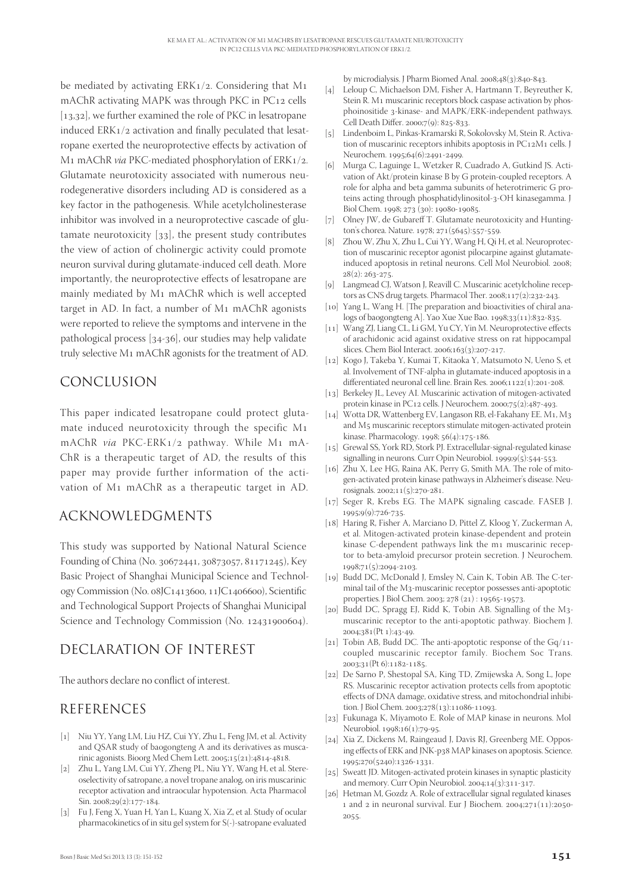be mediated by activating  $ERK_1/2$ . Considering that M1  $m$ AChR activating MAPK was through PKC in PC12 cells  $[13, 32]$ , we further examined the role of PKC in lesatropane induced  $ERK_1/2$  activation and finally peculated that lesatropane exerted the neuroprotective effects by activation of M<sub>1</sub> mAChR *via* PKC-mediated phosphorylation of ERK<sub>1</sub>/2. Glutamate neurotoxicity associated with numerous neurodegenerative disorders including AD is considered as a key factor in the pathogenesis. While acetylcholinesterase inhibitor was involved in a neuroprotective cascade of glutamate neurotoxicity  $[33]$ , the present study contributes the view of action of cholinergic activity could promote neuron survival during glutamate-induced cell death. More importantly, the neuroprotective effects of lesatropane are mainly mediated by M<sub>1</sub> mAChR which is well accepted target in AD. In fact, a number of  $M_1$  mAChR agonists were reported to relieve the symptoms and intervene in the pathological process  $[34-36]$ , our studies may help validate truly selective M1 mAChR agonists for the treatment of AD.

# CONCLUSION

This paper indicated lesatropane could protect glutamate induced neurotoxicity through the specific M mAChR *via* PKC-ERK1/2 pathway. While M1 mA-ChR is a therapeutic target of AD, the results of this paper may provide further information of the activation of M<sub>1</sub> mAChR as a therapeutic target in AD.

# ACKNOWLEDGMENTS

This study was supported by National Natural Science Founding of China (No. 30672441, 30873057, 81171245), Key Basic Project of Shanghai Municipal Science and Technology Commission (No. 08JC1413600, 11JC1406600), Scientific and Technological Support Projects of Shanghai Municipal Science and Technology Commission (No. 12431900604).

# DECLARATION OF INTEREST

The authors declare no conflict of interest.

# REFERENCES

- [1] Niu YY, Yang LM, Liu HZ, Cui YY, Zhu L, Feng JM, et al. Activity and QSAR study of baogongteng A and its derivatives as muscarinic agonists. Bioorg Med Chem Lett. 2005;15(21):4814-4818.
- [2] Zhu L, Yang LM, Cui YY, Zheng PL, Niu YY, Wang H, et al. Stereoselectivity of satropane, a novel tropane analog, on iris muscarinic receptor activation and intraocular hypotension. Acta Pharmacol Sin. 2008;29(2):177-184.
- [3] Fu J, Feng X, Yuan H, Yan L, Kuang X, Xia Z, et al. Study of ocular pharmacokinetics of in situ gel system for S(-)-satropane evaluated

by microdialysis. J Pharm Biomed Anal. 2008;48(3):840-843.

- [4] Leloup C, Michaelson DM, Fisher A, Hartmann T, Beyreuther K, Stein R. M<sub>1</sub> muscarinic receptors block caspase activation by phosphoinositide 3-kinase- and MAPK/ERK-independent pathways. Cell Death Differ. 2000;7(9): 825-833.
- [5] Lindenboim L, Pinkas-Kramarski R, Sokolovsky M, Stein R. Activation of muscarinic receptors inhibits apoptosis in PC12M1 cells. J Neurochem. 1995;64(6):2491-2499.
- [6] Murga C, Laguinge L, Wetzker R, Cuadrado A, Gutkind JS. Activation of Akt/protein kinase B by G protein-coupled receptors. A role for alpha and beta gamma subunits of heterotrimeric G proteins acting through phosphatidylinositol-3-OH kinasegamma. J Biol Chem. 1998; 273 (30): 19080-19085.
- [7] Olney JW, de Gubareff T. Glutamate neurotoxicity and Huntington's chorea. Nature. 1978; 271(5645):557-559.
- [8] Zhou W, Zhu X, Zhu L, Cui YY, Wang H, Qi H, et al. Neuroprotection of muscarinic receptor agonist pilocarpine against glutamateinduced apoptosis in retinal neurons. Cell Mol Neurobiol. 2008;  $28(2): 263 - 275.$
- [9] Langmead CJ, Watson J, Reavill C. Muscarinic acetylcholine receptors as CNS drug targets. Pharmacol Ther.  $2008;117(2):232-243$ .
- [10] Yang L, Wang H. [The preparation and bioactivities of chiral analogs of baogongteng A]. Yao Xue Xue Bao. 1998;33(11):832-835.
- [11] Wang ZJ, Liang CL, Li GM, Yu CY, Yin M. Neuroprotective effects of arachidonic acid against oxidative stress on rat hippocampal slices. Chem Biol Interact.  $2006;163(3):207-217$ .
- [12] Kogo J, Takeba Y, Kumai T, Kitaoka Y, Matsumoto N, Ueno S, et al. Involvement of TNF-alpha in glutamate-induced apoptosis in a differentiated neuronal cell line. Brain Res.  $2006;1122(1):201-208$ .
- [13] Berkeley JL, Levey AI. Muscarinic activation of mitogen-activated protein kinase in PC12 cells. J Neurochem.  $2000;75(2):487-493$ .
- [14] Wotta DR, Wattenberg EV, Langason RB, el-Fakahany EE. M1, M3 and M<sub>5</sub> muscarinic receptors stimulate mitogen-activated protein kinase. Pharmacology. 1998;  $56(4):175-186$ .
- [15] Grewal SS, York RD, Stork PJ. Extracellular-signal-regulated kinase signalling in neurons. Curr Opin Neurobiol. 1999;9(5):544-553.
- [16] Zhu X, Lee HG, Raina AK, Perry G, Smith MA. The role of mitogen-activated protein kinase pathways in Alzheimer's disease. Neurosignals. 2002;11(5):270-281.
- [17] Seger R, Krebs EG. The MAPK signaling cascade. FASEB J. 1995;9(9):726-735.
- [18] Haring R, Fisher A, Marciano D, Pittel Z, Kloog Y, Zuckerman A, et al. Mitogen-activated protein kinase-dependent and protein kinase C-dependent pathways link the m1 muscarinic receptor to beta-amyloid precursor protein secretion. J Neurochem.  $1998;71(5):2094-2103.$
- [19] Budd DC, McDonald J, Emsley N, Cain K, Tobin AB. The C-terminal tail of the M<sub>3</sub>-muscarinic receptor possesses anti-apoptotic properties. J Biol Chem. 2003; 278 (21) : 19565-19573.
- [20] Budd DC, Spragg EJ, Ridd K, Tobin AB. Signalling of the M3muscarinic receptor to the anti-apoptotic pathway. Biochem J. 2004;381(Pt 1):43-49.
- [21] Tobin AB, Budd DC. The anti-apoptotic response of the  $Gq/11$ coupled muscarinic receptor family. Biochem Soc Trans. 2003;31(Pt 6):1182-1185.
- [22] De Sarno P, Shestopal SA, King TD, Zmijewska A, Song L, Jope RS. Muscarinic receptor activation protects cells from apoptotic effects of DNA damage, oxidative stress, and mitochondrial inhibition. J Biol Chem. 2003;278(13):11086-11093.
- [23] Fukunaga K, Miyamoto E. Role of MAP kinase in neurons. Mol Neurobiol. 1998;16(1):79-95.
- [24] Xia Z, Dickens M, Raingeaud J, Davis RJ, Greenberg ME. Opposing effects of ERK and JNK-p<sub>3</sub>8 MAP kinases on apoptosis. Science. 1995;270(5240):1326-1331.
- [25] Sweatt JD. Mitogen-activated protein kinases in synaptic plasticity and memory. Curr Opin Neurobiol. 2004;14(3):311-317.
- [26] Hetman M, Gozdz A. Role of extracellular signal regulated kinases 1 and 2 in neuronal survival. Eur J Biochem.  $2004;271(11):2050-$ 2055.